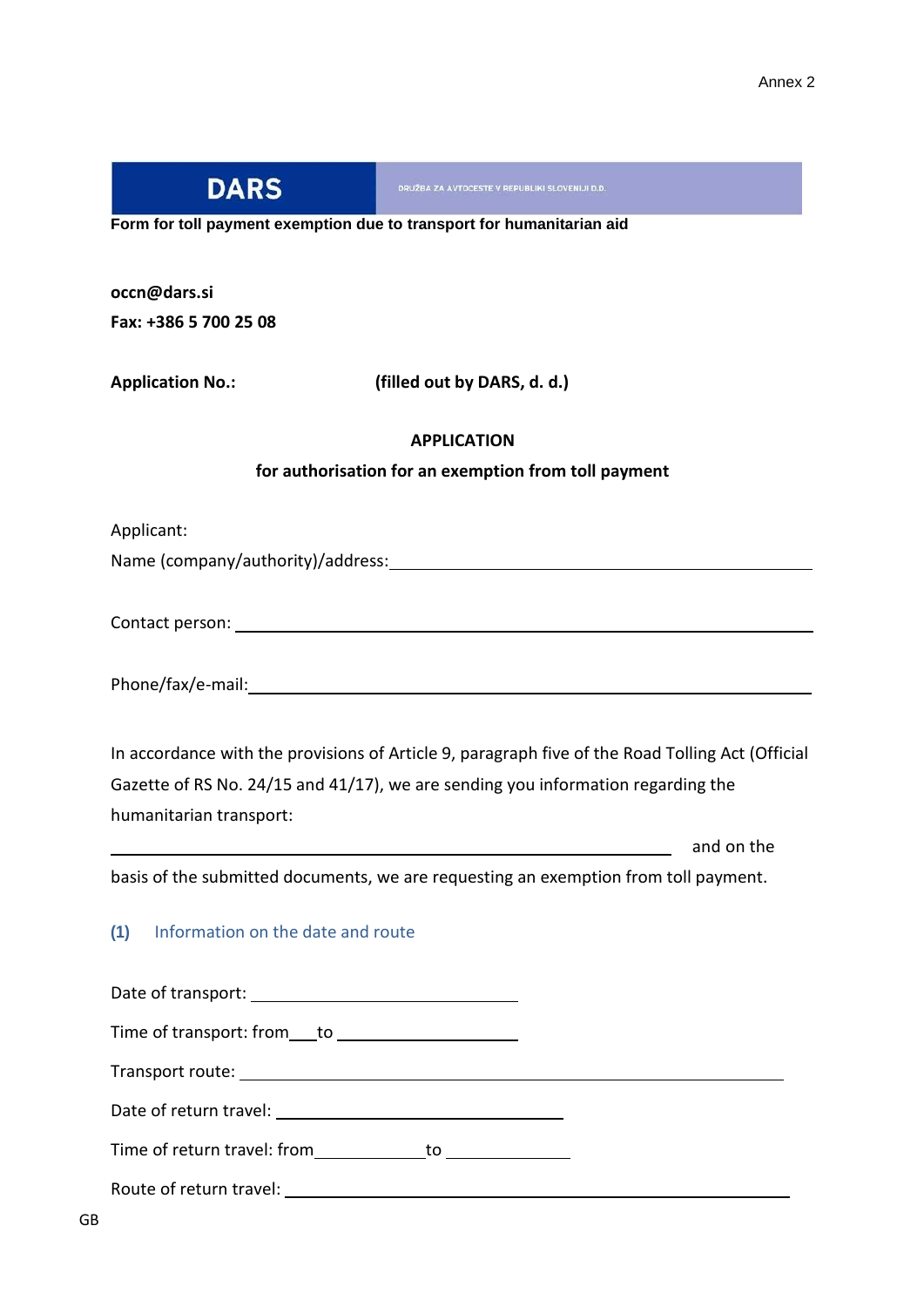| <b>DARS</b>                              | DRUŽBA ZA AVTOCESTE V REPUBLIKI SLOVENIJI D.D.                                                                                                                                       |
|------------------------------------------|--------------------------------------------------------------------------------------------------------------------------------------------------------------------------------------|
|                                          | Form for toll payment exemption due to transport for humanitarian aid                                                                                                                |
| occn@dars.si                             |                                                                                                                                                                                      |
| Fax: +386 5 700 25 08                    |                                                                                                                                                                                      |
| <b>Application No.:</b>                  | (filled out by DARS, d. d.)                                                                                                                                                          |
|                                          | <b>APPLICATION</b>                                                                                                                                                                   |
|                                          | for authorisation for an exemption from toll payment                                                                                                                                 |
| Applicant:                               |                                                                                                                                                                                      |
|                                          |                                                                                                                                                                                      |
|                                          |                                                                                                                                                                                      |
|                                          |                                                                                                                                                                                      |
|                                          |                                                                                                                                                                                      |
|                                          |                                                                                                                                                                                      |
|                                          |                                                                                                                                                                                      |
|                                          | In accordance with the provisions of Article 9, paragraph five of the Road Tolling Act (Official<br>Gazette of RS No. 24/15 and 41/17), we are sending you information regarding the |
| humanitarian transport:                  |                                                                                                                                                                                      |
|                                          | and on the                                                                                                                                                                           |
|                                          | basis of the submitted documents, we are requesting an exemption from toll payment.                                                                                                  |
| Information on the date and route<br>(1) |                                                                                                                                                                                      |
|                                          |                                                                                                                                                                                      |
|                                          |                                                                                                                                                                                      |
|                                          |                                                                                                                                                                                      |
|                                          |                                                                                                                                                                                      |
|                                          | Time of return travel: from _____________ to _______________                                                                                                                         |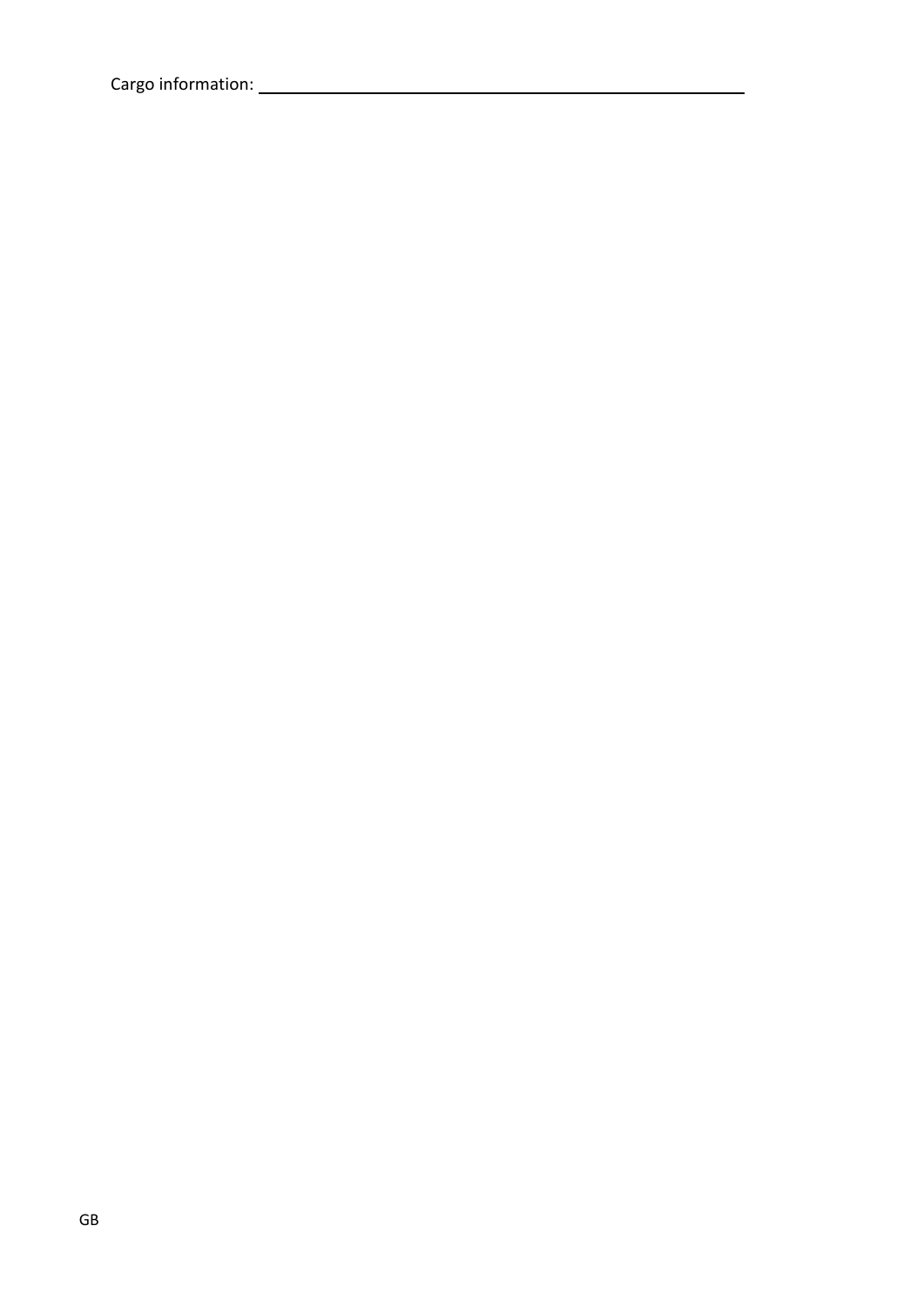Cargo information: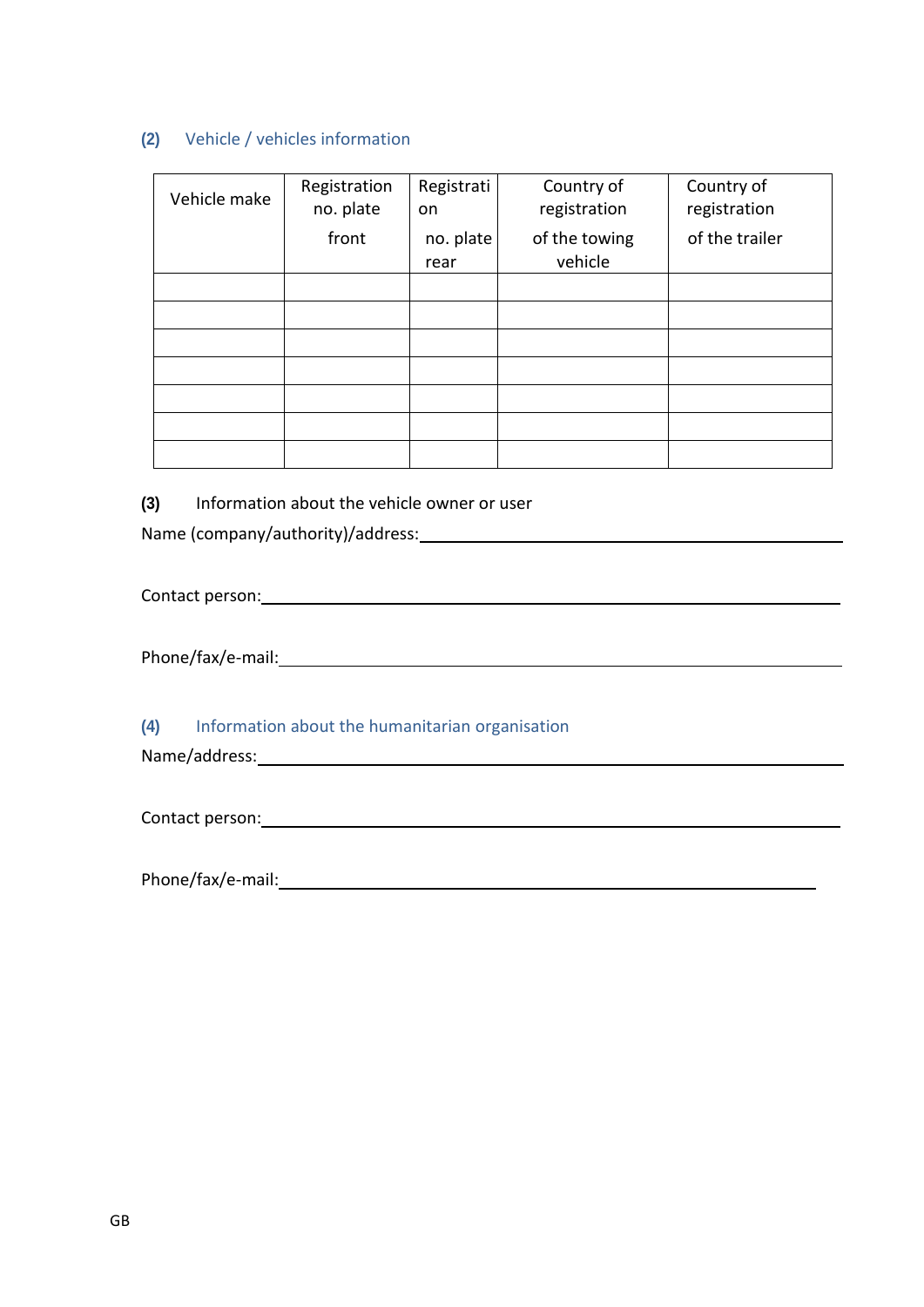## **(2)** Vehicle / vehicles information

| Vehicle make | Registration<br>no. plate | Registrati<br>on | Country of<br>registration | Country of<br>registration |
|--------------|---------------------------|------------------|----------------------------|----------------------------|
|              | front                     | no. plate        | of the towing              | of the trailer             |
|              |                           | rear             | vehicle                    |                            |
|              |                           |                  |                            |                            |
|              |                           |                  |                            |                            |
|              |                           |                  |                            |                            |
|              |                           |                  |                            |                            |
|              |                           |                  |                            |                            |
|              |                           |                  |                            |                            |
|              |                           |                  |                            |                            |

**(3)** Information about the vehicle owner or user

Name (company/authority)/address:

Contact person: and the contract person:

Phone/fax/e-mail: example and a set of the set of the set of the set of the set of the set of the set of the set of the set of the set of the set of the set of the set of the set of the set of the set of the set of the set

**(4)** Information about the humanitarian organisation

Name/address:

Contact person: Entertainment of the contact person:

Phone/fax/e-mail: example and a set of the set of the set of the set of the set of the set of the set of the set of the set of the set of the set of the set of the set of the set of the set of the set of the set of the set